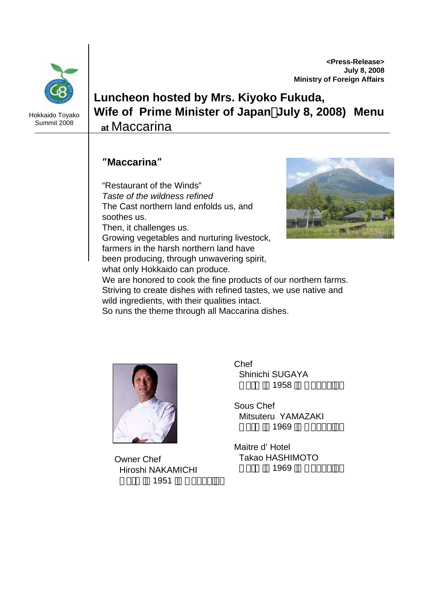**<Press-Release> July 8, 2008 Ministry of Foreign Affairs**



Hokkaido Toyako Summit 2008

## **Luncheon hosted by Mrs. Kiyoko Fukuda, Wife of Prime Minister of Japan**(**July 8, 2008) Menu at** Maccarina

## "**Maccarina**"

"Restaurant of the Winds" *Taste of the wildness refined* The Cast northern land enfolds us, and soothes us.

Then, it challenges us.

Growing vegetables and nurturing livestock, farmers in the harsh northern land have been producing, through unwavering spirit,

what only Hokkaido can produce.



We are honored to cook the fine products of our northern farms. Striving to create dishes with refined tastes, we use native and wild ingredients, with their qualities intact.

So runs the theme through all Maccarina dishes.



Born in <sup>1969</sup>in Hokkaido Owner Chef Hiroshi NAKAMICHI 1951

Chef Shinichi SUGAYA 1958

Sous Chef Mitsuteru YAMAZAKI 1969

Maitre d' Hotel Takao HASHIMOTO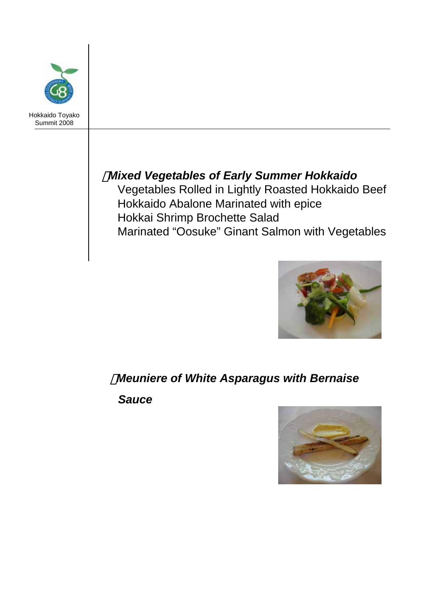

## ・*Mixed Vegetables of Early Summer Hokkaido*

Vegetables Rolled in Lightly Roasted Hokkaido Beef Hokkaido Abalone Marinated with epice Hokkai Shrimp Brochette Salad Marinated "Oosuke" Ginant Salmon with Vegetables



## ・*Meuniere of White Asparagus with Bernaise*

*Sauce*